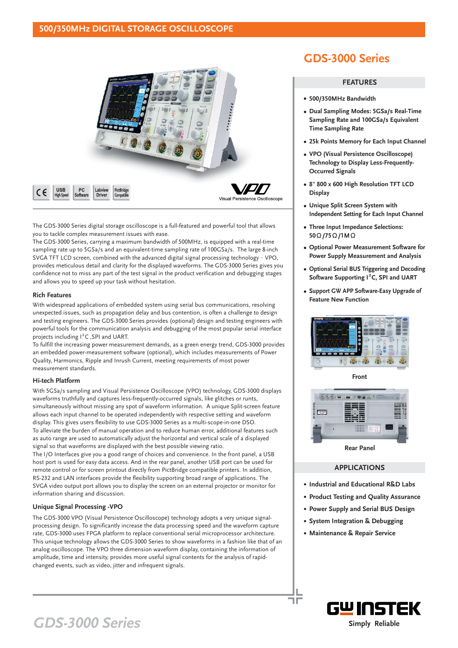### **500/350MHz DIGITAL STORAGE OSCILLOSCOPE**



The GDS-3000 Series digital storage oscilloscope is a full-featured and powerful tool that allows you to tackle complex measurement issues with ease.

The GDS-3000 Series, carrying a maximum bandwidth of 500MHz, is equipped with a real-time sampling rate up to 5GSa/s and an equivalent-time sampling rate of 100GSa/s. The large 8-inch SVGA TFT LCD screen, combined with the advanced digital signal processing technology - VPO, provides meticulous detail and clarity for the displayed waveforms. The GDS-3000 Series gives you confidence not to miss any part of the test signal in the product verification and debugging stages and allows you to speed up your task without hesitation.

#### **Rich Features**

With widespread applications of embedded system using serial bus communications, resolving unexpected issues, such as propagation delay and bus contention, is often a challenge to design and testing engineers. The GDS-3000 Series provides (optional) design and testing engineers with powerful tools for the communication analysis and debugging of the most popular serial interface projects including  $I^2C$ , SPI and UART.

To fulfill the increasing power measurement demands, as a green energy trend, GDS-3000 provides an embedded power-measurement software (optional), which includes measurements of Power Quality, Harmonics, Ripple and Inrush Current, meeting requirements of most power measurement standards.

#### **Hi-tech Platform**

With 5GSa/s sampling and Visual Persistence Oscilloscope (VPO) technology, GDS-3000 displays waveforms truthfully and captures less-frequently-occurred signals, like glitches or runts, simultaneously without missing any spot of waveform information. A unique Split-screen feature allows each input channel to be operated independently with respective setting and waveform display. This gives users flexibility to use GDS-3000 Series as a multi-scope-in-one DSO. To alleviate the burden of manual operation and to reduce human error, additional features such as auto range are used to automatically adjust the horizontal and vertical scale of a displayed signal so that waveforms are displayed with the best possible viewing ratio.

The I/O Interfaces give you a good range of choices and convenience. In the front panel, a USB host port is used for easy data access. And in the rear panel, another USB port can be used for remote control or for screen printout directly from PictBridge compatible printers. In addition, RS-232 and LAN interfaces provide the flexibility supporting broad range of applications. The SVGA video output port allows you to display the screen on an external projector or monitor for information sharing and discussion.

#### **Unique Signal Processing -VPO**

The GDS-3000 VPO (Visual Persistence Oscilloscope) technology adopts a very unique signalprocessing design. To significantly increase the data processing speed and the waveform capture rate, GDS-3000 uses FPGA platform to replace conventional serial microprocessor architecture. This unique technology allows the GDS-3000 Series to show waveforms in a fashion like that of an analog oscilloscope. The VPO three dimension waveform display, containing the information of amplitude, time and intensity, provides more useful signal contents for the analysis of rapidchanged events, such as video, jitter and infrequent signals.

## **GDS-3000 Series**

#### **FEATURES**

- **500/350MHz Bandwidth**
- **Dual Sampling Modes: 5GSa/s Real-Time Sampling Rate and 100GSa/s Equivalent Time Sampling Rate**
- **25k Points Memory for Each Input Channel**
- **VPO (Visual Persistence Oscilloscope) Technology to Display Less-Frequently-Occurred Signals**
- **8" 800 x 600 High Resolution TFT LCD Display**
- **Unique Split Screen System with Independent Setting for Each Input Channel**
- **Three Input Impedance Selections:** 50 Ω /75 Ω /1 M Ω
- **Optional Power Measurement Software for Power Supply Measurement and Analysis**
- **Optional Serial BUS Triggering and Decoding** Software Supporting <sup>2</sup>C, SPI and UART
- **Support GW APP Software-Easy Upgrade of Feature New Function**



**Front**



**Rear Panel**

#### **APPLICATIONS**

- **Industrial and Educational R&D Labs**
- **Product Testing and Quality Assurance**
- **Power Supply and Serial BUS Design**
- **System Integration & Debugging**
- **Maintenance & Repair Service**

٦F



# **GDS-3000 Series**